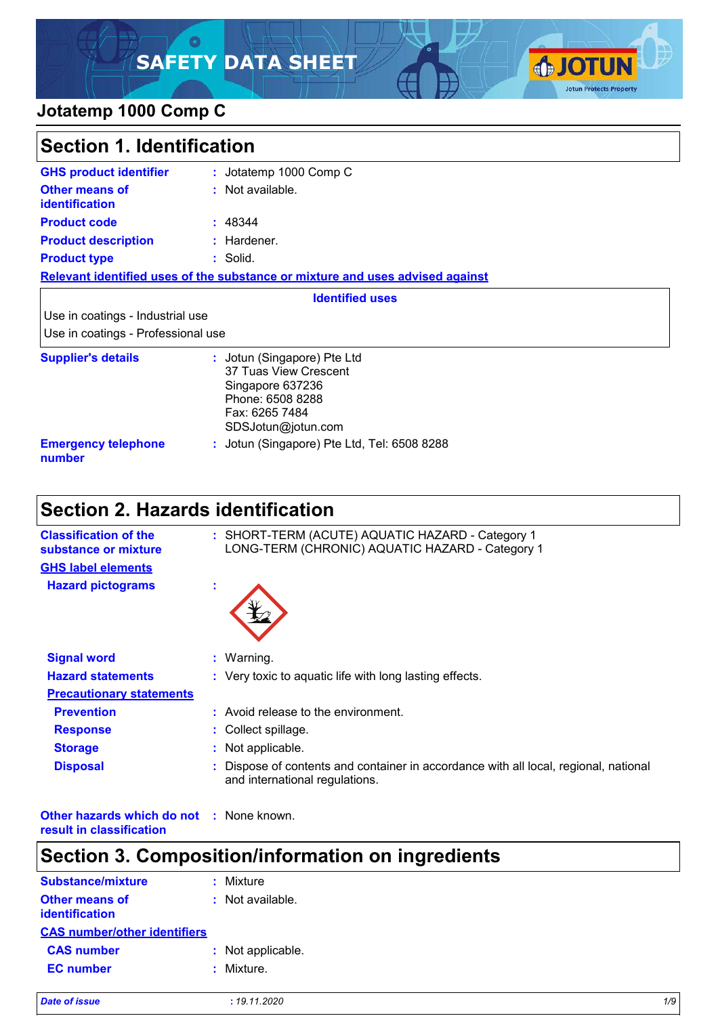# **SAFETY DATA SHEET**



### **Jotatemp 1000 Comp C**

| <b>Section 1. Identification</b>                                       |                                                                                                                                      |  |
|------------------------------------------------------------------------|--------------------------------------------------------------------------------------------------------------------------------------|--|
| <b>GHS product identifier</b>                                          | : Jotatemp 1000 Comp C                                                                                                               |  |
| <b>Other means of</b><br><b>identification</b>                         | : Not available.                                                                                                                     |  |
| <b>Product code</b>                                                    | : 48344                                                                                                                              |  |
| <b>Product description</b>                                             | : Hardener.                                                                                                                          |  |
| <b>Product type</b>                                                    | : Solid.                                                                                                                             |  |
|                                                                        | Relevant identified uses of the substance or mixture and uses advised against                                                        |  |
|                                                                        | <b>Identified uses</b>                                                                                                               |  |
| Use in coatings - Industrial use<br>Use in coatings - Professional use |                                                                                                                                      |  |
| <b>Supplier's details</b>                                              | : Jotun (Singapore) Pte Ltd<br>37 Tuas View Crescent<br>Singapore 637236<br>Phone: 6508 8288<br>Fax: 6265 7484<br>SDSJotun@jotun.com |  |
| <b>Emergency telephone</b><br>number                                   | : Jotun (Singapore) Pte Ltd, Tel: 6508 8288                                                                                          |  |

# **Section 2. Hazards identification**

| <b>Classification of the</b><br>substance or mixture |    | : SHORT-TERM (ACUTE) AQUATIC HAZARD - Category 1<br>LONG-TERM (CHRONIC) AQUATIC HAZARD - Category 1                  |
|------------------------------------------------------|----|----------------------------------------------------------------------------------------------------------------------|
| <b>GHS label elements</b>                            |    |                                                                                                                      |
| <b>Hazard pictograms</b>                             | ×. |                                                                                                                      |
| <b>Signal word</b>                                   |    | $:$ Warning.                                                                                                         |
| <b>Hazard statements</b>                             |    | : Very toxic to aquatic life with long lasting effects.                                                              |
| <b>Precautionary statements</b>                      |    |                                                                                                                      |
| <b>Prevention</b>                                    |    | : Avoid release to the environment.                                                                                  |
| <b>Response</b>                                      |    | : Collect spillage.                                                                                                  |
| <b>Storage</b>                                       |    | : Not applicable.                                                                                                    |
| <b>Disposal</b>                                      |    | Dispose of contents and container in accordance with all local, regional, national<br>and international regulations. |

**Other hazards which do not :** None known. **result in classification**

# **Section 3. Composition/information on ingredients**

| Substance/mixture                       | : Mixture          |
|-----------------------------------------|--------------------|
| <b>Other means of</b><br>identification | $:$ Not available. |
| <b>CAS number/other identifiers</b>     |                    |
| <b>CAS number</b>                       | : Not applicable.  |
| <b>EC</b> number                        | : Mixture.         |
|                                         |                    |

| <b>Date of issue</b> | 19.11.2020 | 1/S |
|----------------------|------------|-----|
|                      |            |     |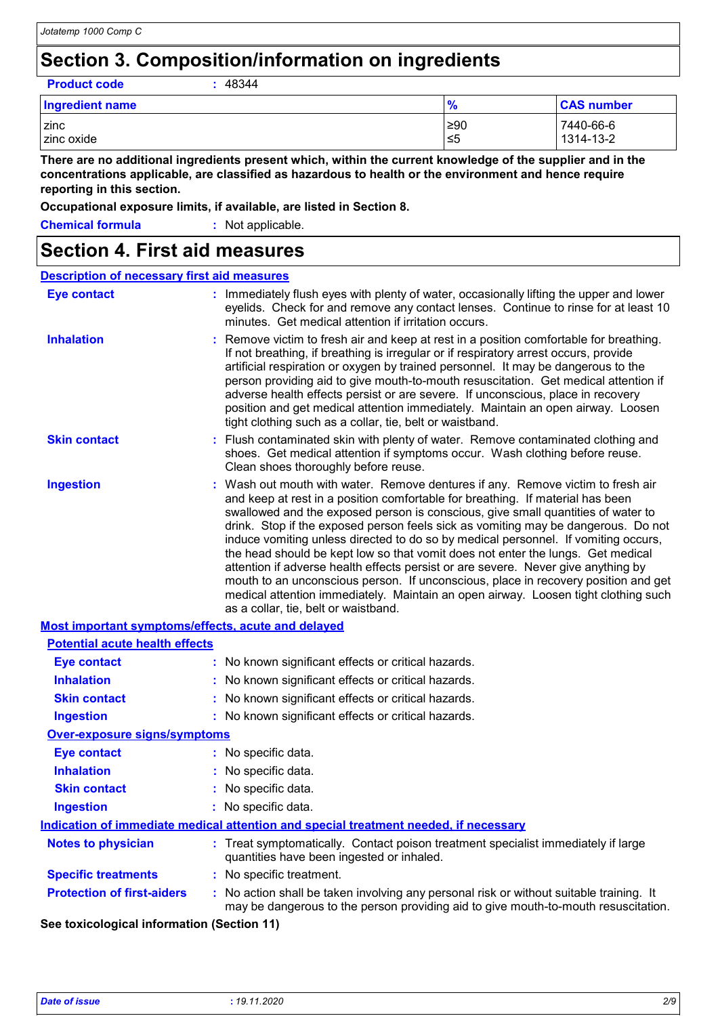# **Section 3. Composition/information on ingredients**

**Product code :** 48344

| <b>Ingredient name</b> | $\frac{9}{6}$ | <b>CAS number</b> |
|------------------------|---------------|-------------------|
| zinc                   | ≥90           | 7440-66-6         |
| zinc oxide             | ≤5            | 1314-13-2         |

**There are no additional ingredients present which, within the current knowledge of the supplier and in the concentrations applicable, are classified as hazardous to health or the environment and hence require reporting in this section.**

**Occupational exposure limits, if available, are listed in Section 8.**

| <b>Chemical formula</b> | : Not applicable. |
|-------------------------|-------------------|
|                         |                   |

### **Section 4. First aid measures**

| <b>Description of necessary first aid measures</b> |                                                                                                                                                                                                                                                                                                                                                                                                                                                                                                                                                                                                                                                                                                                                                                                                                              |
|----------------------------------------------------|------------------------------------------------------------------------------------------------------------------------------------------------------------------------------------------------------------------------------------------------------------------------------------------------------------------------------------------------------------------------------------------------------------------------------------------------------------------------------------------------------------------------------------------------------------------------------------------------------------------------------------------------------------------------------------------------------------------------------------------------------------------------------------------------------------------------------|
| <b>Eye contact</b>                                 | : Immediately flush eyes with plenty of water, occasionally lifting the upper and lower<br>eyelids. Check for and remove any contact lenses. Continue to rinse for at least 10<br>minutes. Get medical attention if irritation occurs.                                                                                                                                                                                                                                                                                                                                                                                                                                                                                                                                                                                       |
| <b>Inhalation</b>                                  | : Remove victim to fresh air and keep at rest in a position comfortable for breathing.<br>If not breathing, if breathing is irregular or if respiratory arrest occurs, provide<br>artificial respiration or oxygen by trained personnel. It may be dangerous to the<br>person providing aid to give mouth-to-mouth resuscitation. Get medical attention if<br>adverse health effects persist or are severe. If unconscious, place in recovery<br>position and get medical attention immediately. Maintain an open airway. Loosen<br>tight clothing such as a collar, tie, belt or waistband.                                                                                                                                                                                                                                 |
| <b>Skin contact</b>                                | : Flush contaminated skin with plenty of water. Remove contaminated clothing and<br>shoes. Get medical attention if symptoms occur. Wash clothing before reuse.<br>Clean shoes thoroughly before reuse.                                                                                                                                                                                                                                                                                                                                                                                                                                                                                                                                                                                                                      |
| <b>Ingestion</b>                                   | : Wash out mouth with water. Remove dentures if any. Remove victim to fresh air<br>and keep at rest in a position comfortable for breathing. If material has been<br>swallowed and the exposed person is conscious, give small quantities of water to<br>drink. Stop if the exposed person feels sick as vomiting may be dangerous. Do not<br>induce vomiting unless directed to do so by medical personnel. If vomiting occurs,<br>the head should be kept low so that vomit does not enter the lungs. Get medical<br>attention if adverse health effects persist or are severe. Never give anything by<br>mouth to an unconscious person. If unconscious, place in recovery position and get<br>medical attention immediately. Maintain an open airway. Loosen tight clothing such<br>as a collar, tie, belt or waistband. |
|                                                    | Most important symptoms/effects, acute and delayed                                                                                                                                                                                                                                                                                                                                                                                                                                                                                                                                                                                                                                                                                                                                                                           |

| <b>Potential acute health effects</b>                                                |                                                                                                                                                                               |  |
|--------------------------------------------------------------------------------------|-------------------------------------------------------------------------------------------------------------------------------------------------------------------------------|--|
| Eye contact                                                                          | : No known significant effects or critical hazards.                                                                                                                           |  |
| <b>Inhalation</b>                                                                    | : No known significant effects or critical hazards.                                                                                                                           |  |
| <b>Skin contact</b>                                                                  | : No known significant effects or critical hazards.                                                                                                                           |  |
| <b>Ingestion</b>                                                                     | : No known significant effects or critical hazards.                                                                                                                           |  |
| <b>Over-exposure signs/symptoms</b>                                                  |                                                                                                                                                                               |  |
| <b>Eye contact</b>                                                                   | : No specific data.                                                                                                                                                           |  |
| <b>Inhalation</b>                                                                    | : No specific data.                                                                                                                                                           |  |
| <b>Skin contact</b>                                                                  | : No specific data.                                                                                                                                                           |  |
| <b>Ingestion</b>                                                                     | : No specific data.                                                                                                                                                           |  |
| Indication of immediate medical attention and special treatment needed, if necessary |                                                                                                                                                                               |  |
| Notes to physician                                                                   | : Treat symptomatically. Contact poison treatment specialist immediately if large<br>quantities have been ingested or inhaled.                                                |  |
| <b>Specific treatments</b>                                                           | : No specific treatment.                                                                                                                                                      |  |
| <b>Protection of first-aiders</b>                                                    | : No action shall be taken involving any personal risk or without suitable training. It<br>may be dangerous to the person providing aid to give mouth-to-mouth resuscitation. |  |

**See toxicological information (Section 11)**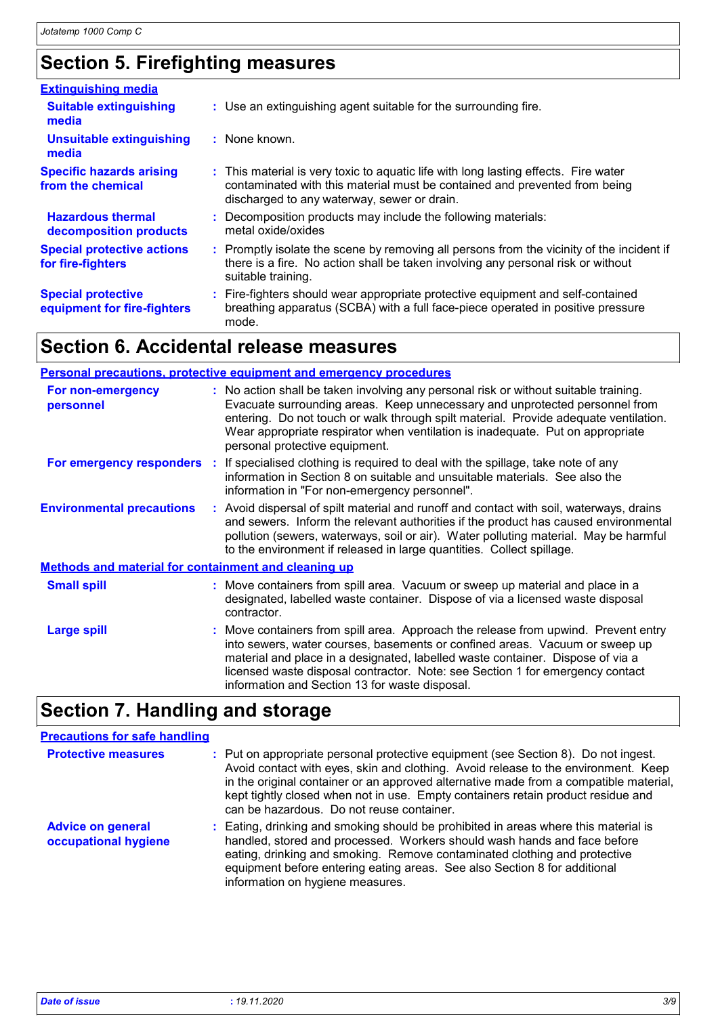# **Section 5. Firefighting measures**

| <b>Extinguishing media</b>                               |                                                                                                                                                                                                                  |
|----------------------------------------------------------|------------------------------------------------------------------------------------------------------------------------------------------------------------------------------------------------------------------|
| <b>Suitable extinguishing</b><br>media                   | : Use an extinguishing agent suitable for the surrounding fire.                                                                                                                                                  |
| <b>Unsuitable extinguishing</b><br>media                 | : None known.                                                                                                                                                                                                    |
| <b>Specific hazards arising</b><br>from the chemical     | : This material is very toxic to aquatic life with long lasting effects. Fire water<br>contaminated with this material must be contained and prevented from being<br>discharged to any waterway, sewer or drain. |
| <b>Hazardous thermal</b><br>decomposition products       | : Decomposition products may include the following materials:<br>metal oxide/oxides                                                                                                                              |
| <b>Special protective actions</b><br>for fire-fighters   | : Promptly isolate the scene by removing all persons from the vicinity of the incident if<br>there is a fire. No action shall be taken involving any personal risk or without<br>suitable training.              |
| <b>Special protective</b><br>equipment for fire-fighters | : Fire-fighters should wear appropriate protective equipment and self-contained<br>breathing apparatus (SCBA) with a full face-piece operated in positive pressure<br>mode.                                      |

# **Section 6. Accidental release measures**

|                                                             | <b>Personal precautions, protective equipment and emergency procedures</b>                                                                                                                                                                                                                                                                                                             |
|-------------------------------------------------------------|----------------------------------------------------------------------------------------------------------------------------------------------------------------------------------------------------------------------------------------------------------------------------------------------------------------------------------------------------------------------------------------|
| For non-emergency<br>personnel                              | : No action shall be taken involving any personal risk or without suitable training.<br>Evacuate surrounding areas. Keep unnecessary and unprotected personnel from<br>entering. Do not touch or walk through spilt material. Provide adequate ventilation.<br>Wear appropriate respirator when ventilation is inadequate. Put on appropriate<br>personal protective equipment.        |
|                                                             | For emergency responders : If specialised clothing is required to deal with the spillage, take note of any<br>information in Section 8 on suitable and unsuitable materials. See also the<br>information in "For non-emergency personnel".                                                                                                                                             |
| <b>Environmental precautions</b>                            | : Avoid dispersal of spilt material and runoff and contact with soil, waterways, drains<br>and sewers. Inform the relevant authorities if the product has caused environmental<br>pollution (sewers, waterways, soil or air). Water polluting material. May be harmful<br>to the environment if released in large quantities. Collect spillage.                                        |
| <b>Methods and material for containment and cleaning up</b> |                                                                                                                                                                                                                                                                                                                                                                                        |
| <b>Small spill</b>                                          | : Move containers from spill area. Vacuum or sweep up material and place in a<br>designated, labelled waste container. Dispose of via a licensed waste disposal<br>contractor.                                                                                                                                                                                                         |
| <b>Large spill</b>                                          | : Move containers from spill area. Approach the release from upwind. Prevent entry<br>into sewers, water courses, basements or confined areas. Vacuum or sweep up<br>material and place in a designated, labelled waste container. Dispose of via a<br>licensed waste disposal contractor. Note: see Section 1 for emergency contact<br>information and Section 13 for waste disposal. |

# **Section 7. Handling and storage**

| <b>Precautions for safe handling</b>             |                                                                                                                                                                                                                                                                                                                                                                                                    |
|--------------------------------------------------|----------------------------------------------------------------------------------------------------------------------------------------------------------------------------------------------------------------------------------------------------------------------------------------------------------------------------------------------------------------------------------------------------|
| <b>Protective measures</b>                       | : Put on appropriate personal protective equipment (see Section 8). Do not ingest.<br>Avoid contact with eyes, skin and clothing. Avoid release to the environment. Keep<br>in the original container or an approved alternative made from a compatible material,<br>kept tightly closed when not in use. Empty containers retain product residue and<br>can be hazardous. Do not reuse container. |
| <b>Advice on general</b><br>occupational hygiene | : Eating, drinking and smoking should be prohibited in areas where this material is<br>handled, stored and processed. Workers should wash hands and face before<br>eating, drinking and smoking. Remove contaminated clothing and protective<br>equipment before entering eating areas. See also Section 8 for additional<br>information on hygiene measures.                                      |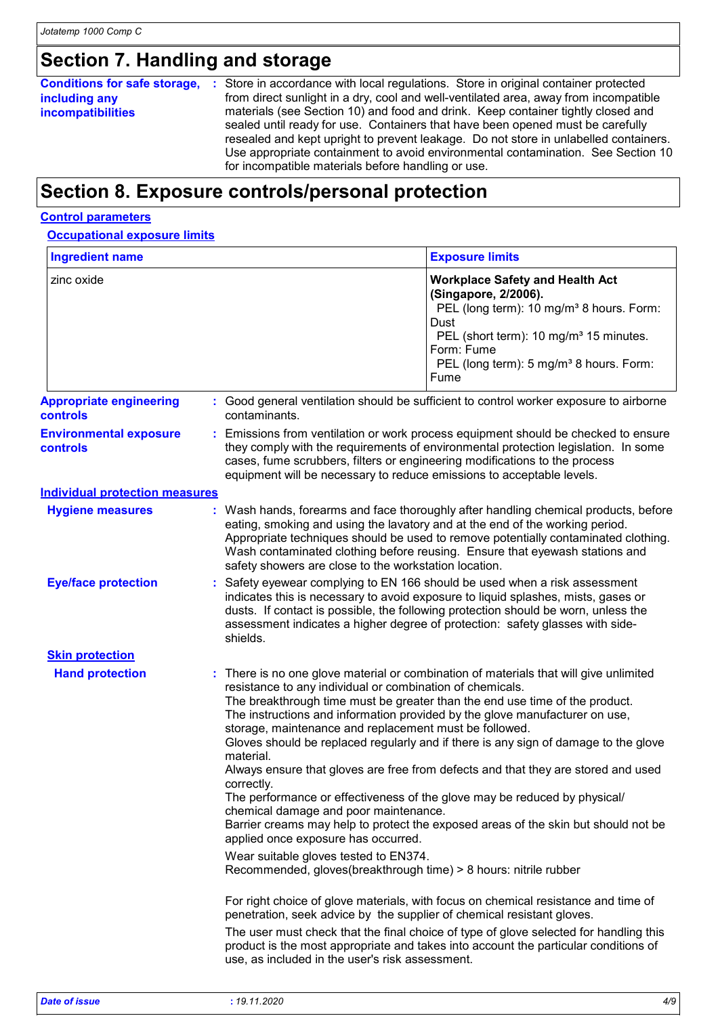# **Section 7. Handling and storage**

#### **Conditions for safe storage, including any incompatibilities**

Store in accordance with local regulations. Store in original container protected **:** from direct sunlight in a dry, cool and well-ventilated area, away from incompatible materials (see Section 10) and food and drink. Keep container tightly closed and sealed until ready for use. Containers that have been opened must be carefully resealed and kept upright to prevent leakage. Do not store in unlabelled containers. Use appropriate containment to avoid environmental contamination. See Section 10 for incompatible materials before handling or use.

# **Section 8. Exposure controls/personal protection**

#### **Control parameters**

| <b>Ingredient name</b>                     | <b>Exposure limits</b>                                                                                                                                                                                                                                                                                                                                                                                                                                                                                                                                                                                                                                                                                                                                                                                                               |  |
|--------------------------------------------|--------------------------------------------------------------------------------------------------------------------------------------------------------------------------------------------------------------------------------------------------------------------------------------------------------------------------------------------------------------------------------------------------------------------------------------------------------------------------------------------------------------------------------------------------------------------------------------------------------------------------------------------------------------------------------------------------------------------------------------------------------------------------------------------------------------------------------------|--|
| zinc oxide                                 | <b>Workplace Safety and Health Act</b><br>(Singapore, 2/2006).<br>PEL (long term): 10 mg/m <sup>3</sup> 8 hours. Form:<br>Dust<br>PEL (short term): 10 mg/m <sup>3</sup> 15 minutes.<br>Form: Fume<br>PEL (long term): 5 mg/m <sup>3</sup> 8 hours. Form:<br>Fume                                                                                                                                                                                                                                                                                                                                                                                                                                                                                                                                                                    |  |
| <b>Appropriate engineering</b><br>controls | : Good general ventilation should be sufficient to control worker exposure to airborne<br>contaminants.                                                                                                                                                                                                                                                                                                                                                                                                                                                                                                                                                                                                                                                                                                                              |  |
| <b>Environmental exposure</b><br>controls  | : Emissions from ventilation or work process equipment should be checked to ensure<br>they comply with the requirements of environmental protection legislation. In some<br>cases, fume scrubbers, filters or engineering modifications to the process<br>equipment will be necessary to reduce emissions to acceptable levels.                                                                                                                                                                                                                                                                                                                                                                                                                                                                                                      |  |
| <b>Individual protection measures</b>      |                                                                                                                                                                                                                                                                                                                                                                                                                                                                                                                                                                                                                                                                                                                                                                                                                                      |  |
| <b>Hygiene measures</b>                    | : Wash hands, forearms and face thoroughly after handling chemical products, before<br>eating, smoking and using the lavatory and at the end of the working period.<br>Appropriate techniques should be used to remove potentially contaminated clothing.<br>Wash contaminated clothing before reusing. Ensure that eyewash stations and<br>safety showers are close to the workstation location.                                                                                                                                                                                                                                                                                                                                                                                                                                    |  |
| <b>Eye/face protection</b>                 | Safety eyewear complying to EN 166 should be used when a risk assessment<br>indicates this is necessary to avoid exposure to liquid splashes, mists, gases or<br>dusts. If contact is possible, the following protection should be worn, unless the<br>assessment indicates a higher degree of protection: safety glasses with side-<br>shields.                                                                                                                                                                                                                                                                                                                                                                                                                                                                                     |  |
| <b>Skin protection</b>                     |                                                                                                                                                                                                                                                                                                                                                                                                                                                                                                                                                                                                                                                                                                                                                                                                                                      |  |
| <b>Hand protection</b>                     | : There is no one glove material or combination of materials that will give unlimited<br>resistance to any individual or combination of chemicals.<br>The breakthrough time must be greater than the end use time of the product.<br>The instructions and information provided by the glove manufacturer on use,<br>storage, maintenance and replacement must be followed.<br>Gloves should be replaced regularly and if there is any sign of damage to the glove<br>material.<br>Always ensure that gloves are free from defects and that they are stored and used<br>correctly.<br>The performance or effectiveness of the glove may be reduced by physical/<br>chemical damage and poor maintenance.<br>Barrier creams may help to protect the exposed areas of the skin but should not be<br>applied once exposure has occurred. |  |
|                                            | Wear suitable gloves tested to EN374.<br>Recommended, gloves(breakthrough time) > 8 hours: nitrile rubber                                                                                                                                                                                                                                                                                                                                                                                                                                                                                                                                                                                                                                                                                                                            |  |
|                                            | For right choice of glove materials, with focus on chemical resistance and time of<br>penetration, seek advice by the supplier of chemical resistant gloves.<br>The user must check that the final choice of type of glove selected for handling this<br>product is the most appropriate and takes into account the particular conditions of<br>use, as included in the user's risk assessment.                                                                                                                                                                                                                                                                                                                                                                                                                                      |  |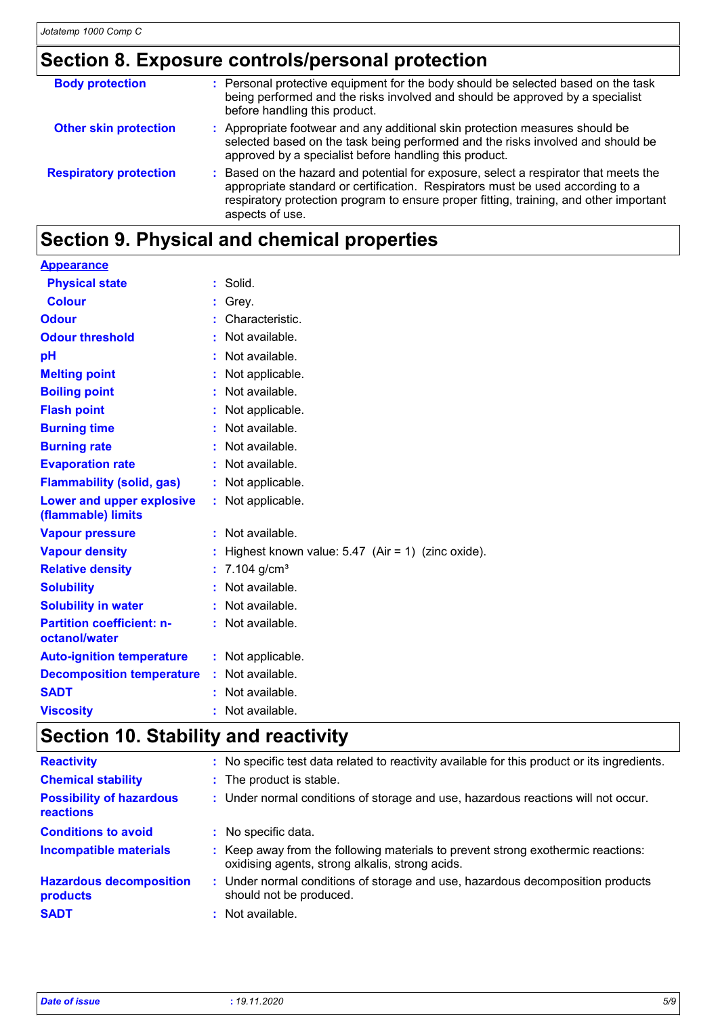### **Section 8. Exposure controls/personal protection**

| <b>Body protection</b>        | : Personal protective equipment for the body should be selected based on the task<br>being performed and the risks involved and should be approved by a specialist<br>before handling this product.                                                                                 |
|-------------------------------|-------------------------------------------------------------------------------------------------------------------------------------------------------------------------------------------------------------------------------------------------------------------------------------|
| <b>Other skin protection</b>  | : Appropriate footwear and any additional skin protection measures should be<br>selected based on the task being performed and the risks involved and should be<br>approved by a specialist before handling this product.                                                           |
| <b>Respiratory protection</b> | : Based on the hazard and potential for exposure, select a respirator that meets the<br>appropriate standard or certification. Respirators must be used according to a<br>respiratory protection program to ensure proper fitting, training, and other important<br>aspects of use. |

# **Section 9. Physical and chemical properties**

| <b>Appearance</b>                                 |                             |                                                     |
|---------------------------------------------------|-----------------------------|-----------------------------------------------------|
| <b>Physical state</b>                             | $\mathcal{L}^{\mathcal{A}}$ | Solid.                                              |
| <b>Colour</b>                                     |                             | Grey.                                               |
| <b>Odour</b>                                      |                             | Characteristic.                                     |
| <b>Odour threshold</b>                            |                             | Not available.                                      |
| рH                                                |                             | Not available.                                      |
| <b>Melting point</b>                              |                             | Not applicable.                                     |
| <b>Boiling point</b>                              |                             | Not available.                                      |
| <b>Flash point</b>                                |                             | Not applicable.                                     |
| <b>Burning time</b>                               |                             | Not available.                                      |
| <b>Burning rate</b>                               |                             | Not available.                                      |
| <b>Evaporation rate</b>                           |                             | Not available.                                      |
| <b>Flammability (solid, gas)</b>                  |                             | Not applicable.                                     |
| Lower and upper explosive<br>(flammable) limits   |                             | : Not applicable.                                   |
| <b>Vapour pressure</b>                            |                             | Not available.                                      |
| <b>Vapour density</b>                             |                             | Highest known value: $5.47$ (Air = 1) (zinc oxide). |
| <b>Relative density</b>                           |                             | 7.104 $g/cm^{3}$                                    |
| <b>Solubility</b>                                 |                             | Not available.                                      |
| <b>Solubility in water</b>                        |                             | Not available.                                      |
| <b>Partition coefficient: n-</b><br>octanol/water | ÷.                          | Not available.                                      |
| <b>Auto-ignition temperature</b>                  |                             | : Not applicable.                                   |
| <b>Decomposition temperature</b>                  |                             | Not available.                                      |
| <b>SADT</b>                                       |                             | Not available.                                      |
| <b>Viscosity</b>                                  |                             | Not available.                                      |

# **Section 10. Stability and reactivity**

| <b>Reactivity</b>                                   | : No specific test data related to reactivity available for this product or its ingredients.                                        |
|-----------------------------------------------------|-------------------------------------------------------------------------------------------------------------------------------------|
| <b>Chemical stability</b>                           | : The product is stable.                                                                                                            |
| <b>Possibility of hazardous</b><br><b>reactions</b> | : Under normal conditions of storage and use, hazardous reactions will not occur.                                                   |
| <b>Conditions to avoid</b>                          | : No specific data.                                                                                                                 |
| <b>Incompatible materials</b>                       | : Keep away from the following materials to prevent strong exothermic reactions:<br>oxidising agents, strong alkalis, strong acids. |
| <b>Hazardous decomposition</b><br>products          | : Under normal conditions of storage and use, hazardous decomposition products<br>should not be produced.                           |
| <b>SADT</b>                                         | : Not available.                                                                                                                    |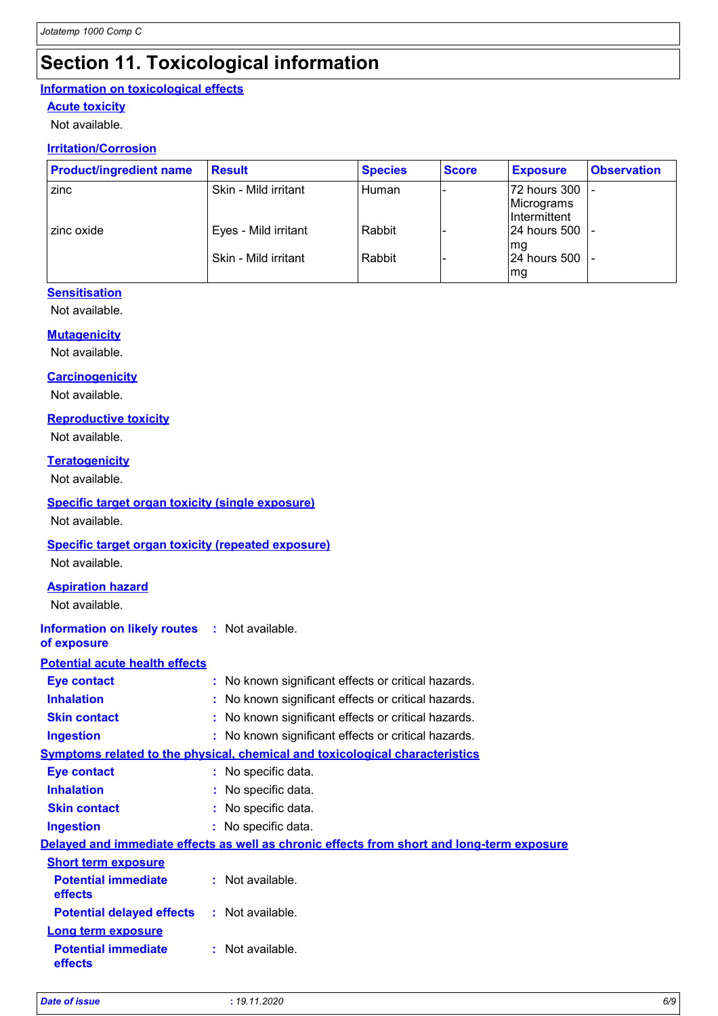# **Section 11. Toxicological information**

#### **Information on toxicological effects**

#### **Acute toxicity**

Not available.

#### **Irritation/Corrosion**

| <b>Product/ingredient name</b> | <b>Result</b>        | <b>Species</b> | <b>Score</b> | <b>Exposure</b>                            | <b>Observation</b> |
|--------------------------------|----------------------|----------------|--------------|--------------------------------------------|--------------------|
| zinc                           | Skin - Mild irritant | Human          |              | 72 hours 300<br>Micrograms<br>Intermittent |                    |
| zinc oxide                     | Eyes - Mild irritant | Rabbit         |              | 24 hours 500  -<br>Ima                     |                    |
|                                | Skin - Mild irritant | Rabbit         |              | 24 hours 500<br>mg                         |                    |

#### **Sensitisation**

Not available.

#### **Mutagenicity**

Not available.

#### **Carcinogenicity**

Not available.

#### **Reproductive toxicity**

Not available.

#### **Teratogenicity**

Not available.

#### **Specific target organ toxicity (single exposure)**

Not available.

#### **Specific target organ toxicity (repeated exposure)**

Not available.

#### **Aspiration hazard**

Not available.

| <b>Information on likely routes</b> | Not available. |
|-------------------------------------|----------------|
|-------------------------------------|----------------|

#### **of exposure**

#### **Potential acute health effects**

| <b>Eye contact</b>                    |                                                     | : No known significant effects or critical hazards.                                        |  |
|---------------------------------------|-----------------------------------------------------|--------------------------------------------------------------------------------------------|--|
| <b>Inhalation</b>                     | : No known significant effects or critical hazards. |                                                                                            |  |
| <b>Skin contact</b>                   |                                                     | : No known significant effects or critical hazards.                                        |  |
| <b>Ingestion</b>                      |                                                     | : No known significant effects or critical hazards.                                        |  |
|                                       |                                                     | <u>Symptoms related to the physical, chemical and toxicological characteristics</u>        |  |
| <b>Eye contact</b>                    |                                                     | : No specific data.                                                                        |  |
| <b>Inhalation</b>                     |                                                     | : No specific data.                                                                        |  |
| <b>Skin contact</b>                   |                                                     | : No specific data.                                                                        |  |
| <b>Ingestion</b>                      |                                                     | : No specific data.                                                                        |  |
|                                       |                                                     | Delayed and immediate effects as well as chronic effects from short and long-term exposure |  |
| <b>Short term exposure</b>            |                                                     |                                                                                            |  |
| <b>Potential immediate</b><br>effects |                                                     | : Not available.                                                                           |  |
| <b>Potential delayed effects</b>      |                                                     | : Not available.                                                                           |  |
| <b>Long term exposure</b>             |                                                     |                                                                                            |  |
| <b>Potential immediate</b><br>effects |                                                     | : Not available.                                                                           |  |
|                                       |                                                     |                                                                                            |  |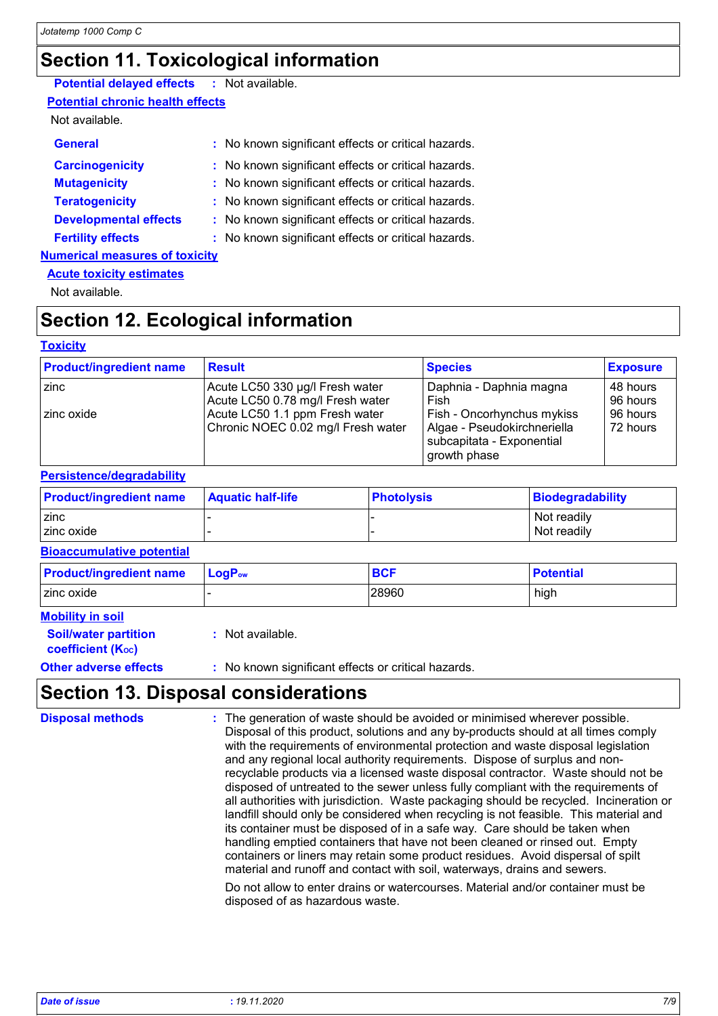# **Section 11. Toxicological information**

#### **Potential delayed effects :** Not available.

**Potential chronic health effects**

#### Not available.

| <b>General</b>                        | : No known significant effects or critical hazards. |
|---------------------------------------|-----------------------------------------------------|
| <b>Carcinogenicity</b>                | : No known significant effects or critical hazards. |
| <b>Mutagenicity</b>                   | : No known significant effects or critical hazards. |
| <b>Teratogenicity</b>                 | : No known significant effects or critical hazards. |
| <b>Developmental effects</b>          | : No known significant effects or critical hazards. |
| <b>Fertility effects</b>              | : No known significant effects or critical hazards. |
| <b>Numerical measures of toxicity</b> |                                                     |
|                                       |                                                     |

### **Acute toxicity estimates**

Not available.

### **Section 12. Ecological information**

#### **Toxicity**

| <b>Product/ingredient name</b> | <b>Result</b>                      | <b>Species</b>                                                           | <b>Exposure</b> |
|--------------------------------|------------------------------------|--------------------------------------------------------------------------|-----------------|
| zinc                           | Acute LC50 330 µg/l Fresh water    | Daphnia - Daphnia magna                                                  | 48 hours        |
|                                | Acute LC50 0.78 mg/l Fresh water   | Fish                                                                     | 96 hours        |
| zinc oxide                     | Acute LC50 1.1 ppm Fresh water     | Fish - Oncorhynchus mykiss                                               | 96 hours        |
|                                | Chronic NOEC 0.02 mg/l Fresh water | Algae - Pseudokirchneriella<br>subcapitata - Exponential<br>growth phase | 72 hours        |

#### **Persistence/degradability**

| <b>Product/ingredient name</b> | <b>Aquatic half-life</b> | <b>Photolysis</b> | Biodegradability |
|--------------------------------|--------------------------|-------------------|------------------|
| <b>Zinc</b>                    |                          |                   | Not readily      |
| zinc oxide                     |                          |                   | Not readily      |

#### **Bioaccumulative potential**

| <b>Product/ingredient name</b> | $LogPow$ | <b>BCF</b> | <b>Potential</b> |
|--------------------------------|----------|------------|------------------|
| zinc oxide                     |          | 28960      | high             |

#### **Mobility in soil**

- **Soil/water partition coefficient (KOC)**
- **:** Not available.

**Other adverse effects :** No known significant effects or critical hazards.

### **Section 13. Disposal considerations**

The generation of waste should be avoided or minimised wherever possible. Disposal of this product, solutions and any by-products should at all times comply with the requirements of environmental protection and waste disposal legislation and any regional local authority requirements. Dispose of surplus and nonrecyclable products via a licensed waste disposal contractor. Waste should not be disposed of untreated to the sewer unless fully compliant with the requirements of all authorities with jurisdiction. Waste packaging should be recycled. Incineration or landfill should only be considered when recycling is not feasible. This material and its container must be disposed of in a safe way. Care should be taken when handling emptied containers that have not been cleaned or rinsed out. Empty containers or liners may retain some product residues. Avoid dispersal of spilt material and runoff and contact with soil, waterways, drains and sewers. **Disposal methods :** Do not allow to enter drains or watercourses. Material and/or container must be disposed of as hazardous waste.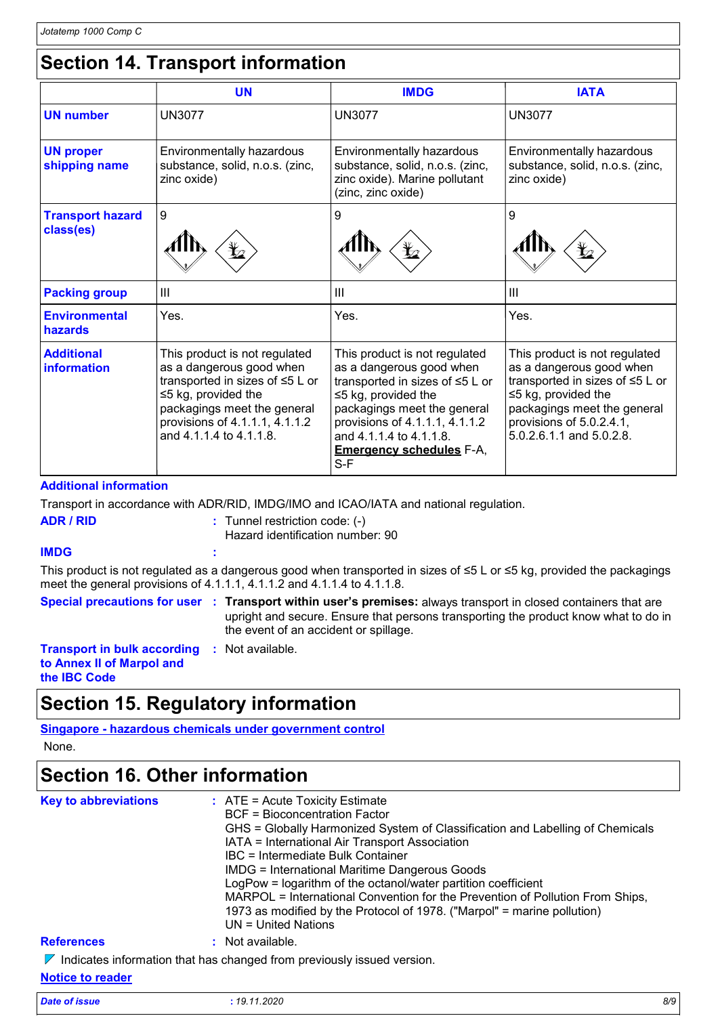# **Section 14. Transport information**

|                                      | <b>UN</b>                                                                                                                                                                                                             | <b>IMDG</b>                                                                                                                                                                                                                                                     | <b>IATA</b>                                                                                                                                                                                                      |
|--------------------------------------|-----------------------------------------------------------------------------------------------------------------------------------------------------------------------------------------------------------------------|-----------------------------------------------------------------------------------------------------------------------------------------------------------------------------------------------------------------------------------------------------------------|------------------------------------------------------------------------------------------------------------------------------------------------------------------------------------------------------------------|
| <b>UN number</b>                     | <b>UN3077</b>                                                                                                                                                                                                         | <b>UN3077</b>                                                                                                                                                                                                                                                   | <b>UN3077</b>                                                                                                                                                                                                    |
| <b>UN proper</b><br>shipping name    | Environmentally hazardous<br>substance, solid, n.o.s. (zinc,<br>zinc oxide)                                                                                                                                           | Environmentally hazardous<br>substance, solid, n.o.s. (zinc,<br>zinc oxide). Marine pollutant<br>(zinc, zinc oxide)                                                                                                                                             | Environmentally hazardous<br>substance, solid, n.o.s. (zinc,<br>zinc oxide)                                                                                                                                      |
| <b>Transport hazard</b><br>class(es) | 9                                                                                                                                                                                                                     | 9                                                                                                                                                                                                                                                               | 9                                                                                                                                                                                                                |
| <b>Packing group</b>                 | Ш                                                                                                                                                                                                                     | III                                                                                                                                                                                                                                                             | III                                                                                                                                                                                                              |
| <b>Environmental</b><br>hazards      | Yes.                                                                                                                                                                                                                  | Yes.                                                                                                                                                                                                                                                            | Yes.                                                                                                                                                                                                             |
| <b>Additional</b><br>information     | This product is not regulated<br>as a dangerous good when<br>transported in sizes of ≤5 L or<br>$\leq$ 5 kg, provided the<br>packagings meet the general<br>provisions of 4.1.1.1, 4.1.1.2<br>and 4.1.1.4 to 4.1.1.8. | This product is not regulated<br>as a dangerous good when<br>transported in sizes of ≤5 L or<br>$\leq$ 5 kg, provided the<br>packagings meet the general<br>provisions of 4.1.1.1, 4.1.1.2<br>and 4.1.1.4 to 4.1.1.8.<br><b>Emergency schedules F-A,</b><br>S-F | This product is not regulated<br>as a dangerous good when<br>transported in sizes of ≤5 L or<br>$\leq$ 5 kg, provided the<br>packagings meet the general<br>provisions of 5.0.2.4.1,<br>5.0.2.6.1.1 and 5.0.2.8. |

#### **Additional information**

Transport in accordance with ADR/RID, IMDG/IMO and ICAO/IATA and national regulation.

| ADR / RID |                                           |
|-----------|-------------------------------------------|
|           | $\therefore$ Tunnel restriction code: (-) |
|           | Hazard identification number: 90          |

#### **IMDG :**

This product is not regulated as a dangerous good when transported in sizes of ≤5 L or ≤5 kg, provided the packagings meet the general provisions of 4.1.1.1, 4.1.1.2 and 4.1.1.4 to 4.1.1.8.

**Special precautions for user Transport within user's premises:** always transport in closed containers that are **:** upright and secure. Ensure that persons transporting the product know what to do in the event of an accident or spillage.

**Transport in bulk according :** Not available. **to Annex II of Marpol and the IBC Code**

### **Section 15. Regulatory information**

#### **Singapore - hazardous chemicals under government control**

None.

### **Section 16. Other information**

| <b>Key to abbreviations</b> | $\therefore$ ATE = Acute Toxicity Estimate<br>BCF = Bioconcentration Factor<br>GHS = Globally Harmonized System of Classification and Labelling of Chemicals<br>IATA = International Air Transport Association<br>IBC = Intermediate Bulk Container<br><b>IMDG = International Maritime Dangerous Goods</b><br>LogPow = logarithm of the octanol/water partition coefficient<br>MARPOL = International Convention for the Prevention of Pollution From Ships,<br>1973 as modified by the Protocol of 1978. ("Marpol" = marine pollution)<br>$UN = United Nations$ |
|-----------------------------|-------------------------------------------------------------------------------------------------------------------------------------------------------------------------------------------------------------------------------------------------------------------------------------------------------------------------------------------------------------------------------------------------------------------------------------------------------------------------------------------------------------------------------------------------------------------|
| <b>References</b>           | : Not available.                                                                                                                                                                                                                                                                                                                                                                                                                                                                                                                                                  |
|                             | $\nabla$ Indicates information that has changed from previously issued version.                                                                                                                                                                                                                                                                                                                                                                                                                                                                                   |

#### **Notice to reader**

| Date of issue<br>. | 19.11.2020 | 8/9 |
|--------------------|------------|-----|
|                    |            |     |